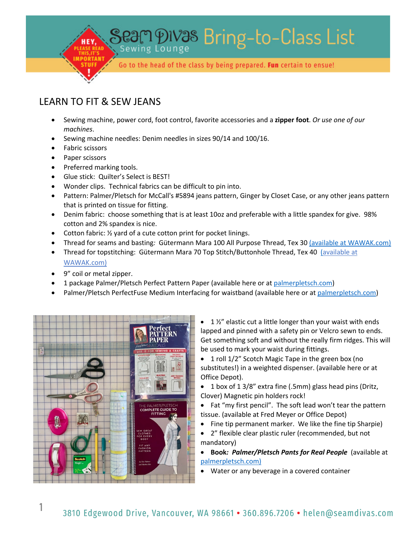Seam DIVas Bring-to-Class List Go to the head of the class by being prepared. Fun certain to ensue!

## LEARN TO FIT & SEW JEANS

- Sewing machine, power cord, foot control, favorite accessories and a **zipper foot**. *Or use one of our machines*.
- Sewing machine needles: Denim needles in sizes 90/14 and 100/16.
- Fabric scissors
- Paper scissors
- Preferred marking tools.
- Glue stick: Quilter's Select is BEST!
- Wonder clips. Technical fabrics can be difficult to pin into.
- Pattern: Palmer/Pletsch for McCall's #5894 jeans pattern, Ginger by Closet Case, or any other jeans pattern that is printed on tissue for fitting.
- Denim fabric:choose something that is at least 10oz and preferable with a little spandex for give. 98% cotton and 2% spandex is nice.
- Cotton fabric: 1/2 yard of a cute cotton print for pocket linings.
- Thread for seams and basting*:* Gütermann Mara 100 All Purpose Thread, Tex 30 (available at WAWAK.com)
- Thread for topstitching: Gütermann Mara 70 Top Stitch/Buttonhole Thread, Tex 40 (available at WAWAK.com)
- 9" coil or metal zipper.
- 1 package Palmer/Pletsch Perfect Pattern Paper (available here or at palmerpletsch.com)
- Palmer/Pletsch PerfectFuse Medium Interfacing for waistband (available here or at palmerpletsch.com)



- $\bullet$  1  $\frac{1}{2}$ " elastic cut a little longer than your waist with ends lapped and pinned with a safety pin or Velcro sewn to ends. Get something soft and without the really firm ridges. This will be used to mark your waist during fittings.
- 1 roll 1/2" Scotch Magic Tape in the green box (no substitutes!) in a weighted dispenser. (available here or at Office Depot).
- 1 box of 1 3/8" extra fine (.5mm) glass head pins (Dritz, Clover) Magnetic pin holders rock!
- Fat "my first pencil". The soft lead won't tear the pattern tissue. (available at Fred Meyer or Office Depot)
- Fine tip permanent marker. We like the fine tip Sharpie)
- 2" flexible clear plastic ruler (recommended, but not mandatory)
- **Book***: Palmer/Pletsch Pants for Real People* (available at palmerpletsch.com)
- Water or any beverage in a covered container